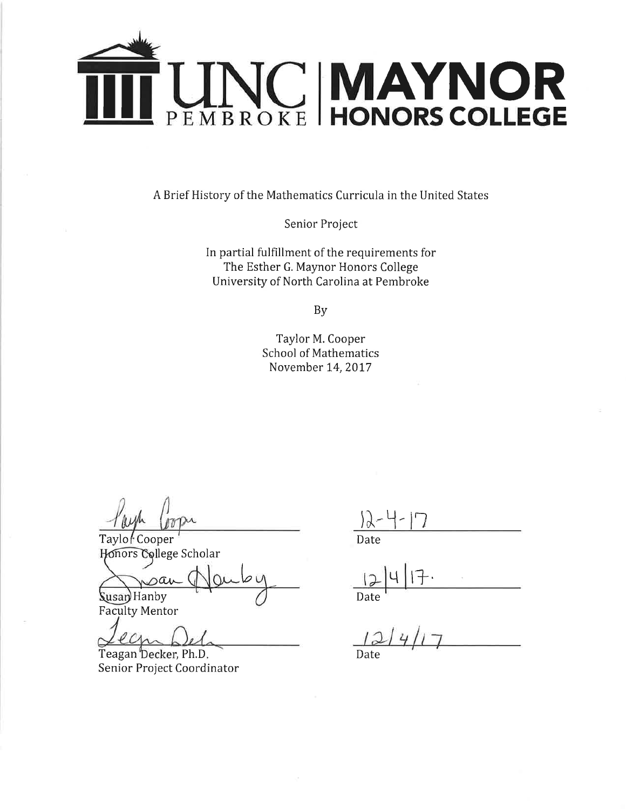

A Brief History of the Mathematics Curricula in the United States

Senior Project

In partial fulfillment of the requirements for The Esther G. Maynor Honors College University of North Carolina at Pembroke

**By** 

Taylor M. Cooper **School of Mathematics** November 14, 2017

Taylor Cooper Honors College Scholar

sai Susan Hanby

**Faculty Mentor** 

 $\omega_{\Lambda}$ 

Teagan Decker, Ph.D. Senior Project Coordinator

Date

Date

Date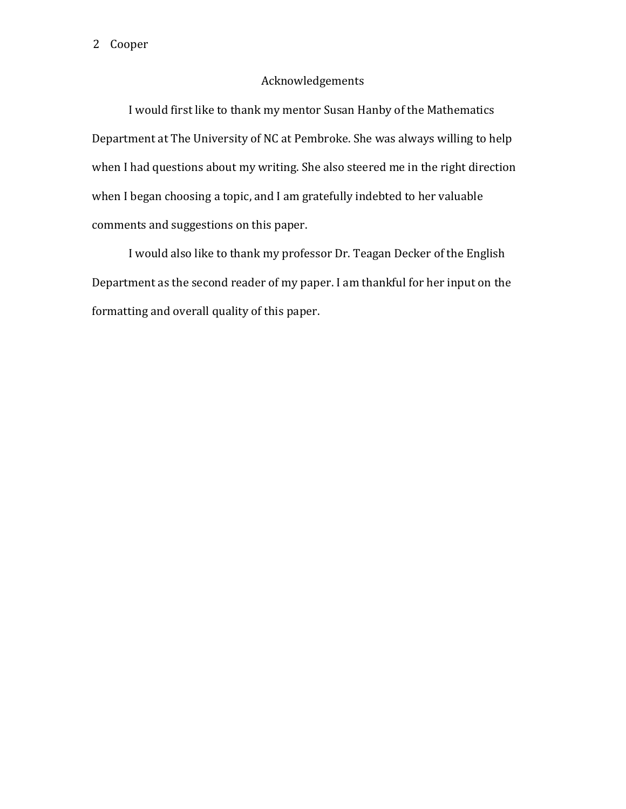## Acknowledgements

I would first like to thank my mentor Susan Hanby of the Mathematics Department at The University of NC at Pembroke. She was always willing to help when I had questions about my writing. She also steered me in the right direction when I began choosing a topic, and I am gratefully indebted to her valuable comments and suggestions on this paper.

I would also like to thank my professor Dr. Teagan Decker of the English Department as the second reader of my paper. I am thankful for her input on the formatting and overall quality of this paper.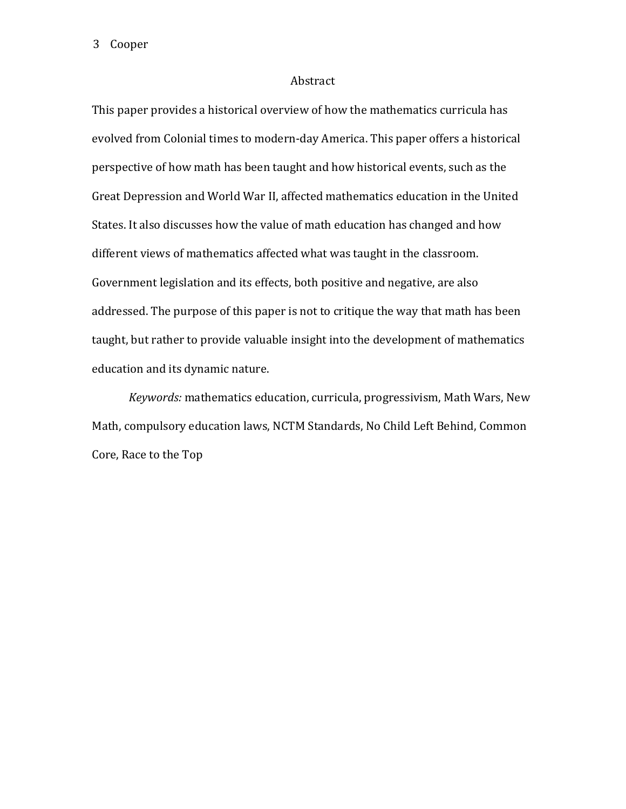## Abstract

This paper provides a historical overview of how the mathematics curricula has evolved from Colonial times to modern-day America. This paper offers a historical perspective of how math has been taught and how historical events, such as the Great Depression and World War II, affected mathematics education in the United States. It also discusses how the value of math education has changed and how different views of mathematics affected what was taught in the classroom. Government legislation and its effects, both positive and negative, are also addressed. The purpose of this paper is not to critique the way that math has been taught, but rather to provide valuable insight into the development of mathematics education and its dynamic nature.

*Keywords:* mathematics education, curricula, progressivism, Math Wars, New Math, compulsory education laws, NCTM Standards, No Child Left Behind, Common Core, Race to the Top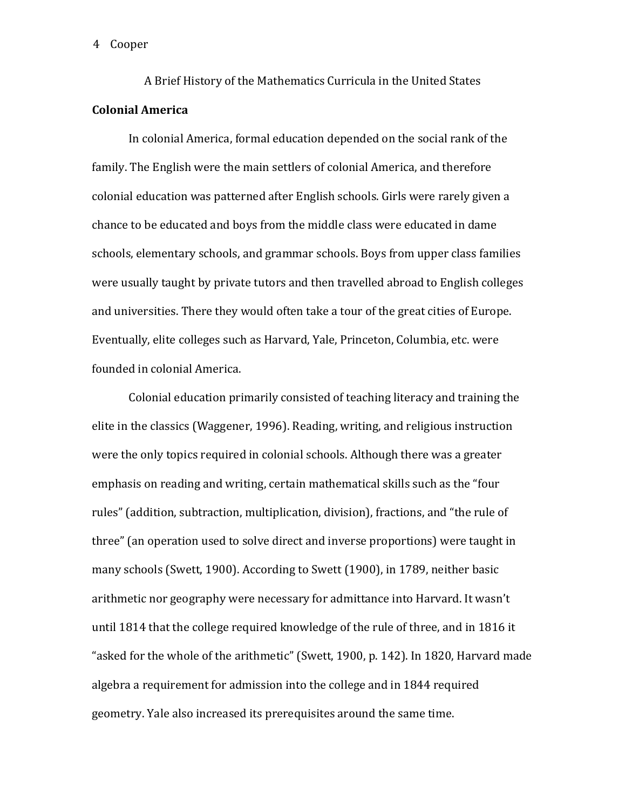A Brief History of the Mathematics Curricula in the United States **Colonial America**

In colonial America, formal education depended on the social rank of the family. The English were the main settlers of colonial America, and therefore colonial education was patterned after English schools. Girls were rarely given a chance to be educated and boys from the middle class were educated in dame schools, elementary schools, and grammar schools. Boys from upper class families were usually taught by private tutors and then travelled abroad to English colleges and universities. There they would often take a tour of the great cities of Europe. Eventually, elite colleges such as Harvard, Yale, Princeton, Columbia, etc. were founded in colonial America.

Colonial education primarily consisted of teaching literacy and training the elite in the classics (Waggener, 1996). Reading, writing, and religious instruction were the only topics required in colonial schools. Although there was a greater emphasis on reading and writing, certain mathematical skills such as the "four rules" (addition, subtraction, multiplication, division), fractions, and "the rule of three" (an operation used to solve direct and inverse proportions) were taught in many schools (Swett, 1900). According to Swett (1900), in 1789, neither basic arithmetic nor geography were necessary for admittance into Harvard. It wasn't until 1814 that the college required knowledge of the rule of three, and in 1816 it "asked for the whole of the arithmetic" (Swett, 1900, p. 142). In 1820, Harvard made algebra a requirement for admission into the college and in 1844 required geometry. Yale also increased its prerequisites around the same time.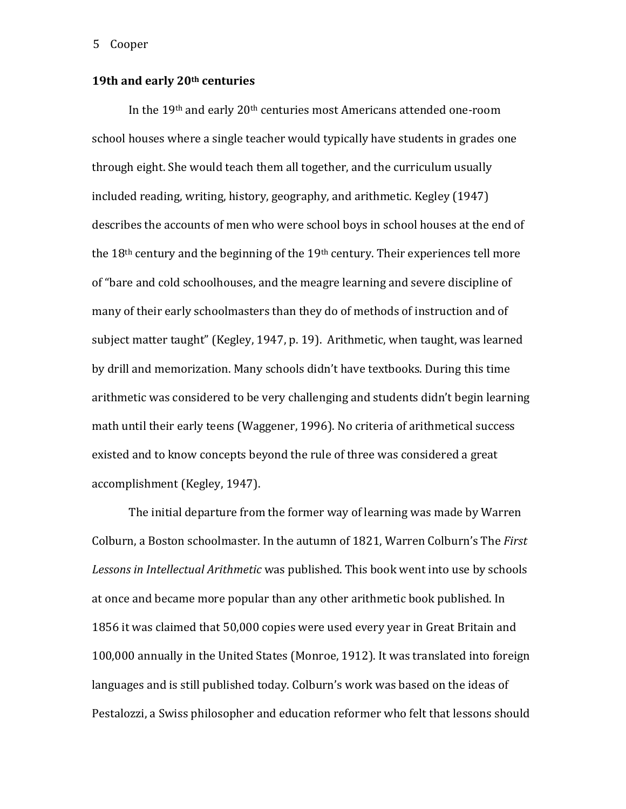# **19th and early 20th centuries**

In the 19th and early 20th centuries most Americans attended one-room school houses where a single teacher would typically have students in grades one through eight. She would teach them all together, and the curriculum usually included reading, writing, history, geography, and arithmetic. Kegley (1947) describes the accounts of men who were school boys in school houses at the end of the 18<sup>th</sup> century and the beginning of the 19<sup>th</sup> century. Their experiences tell more of "bare and cold schoolhouses, and the meagre learning and severe discipline of many of their early schoolmasters than they do of methods of instruction and of subject matter taught" (Kegley, 1947, p. 19). Arithmetic, when taught, was learned by drill and memorization. Many schools didn't have textbooks. During this time arithmetic was considered to be very challenging and students didn't begin learning math until their early teens (Waggener, 1996). No criteria of arithmetical success existed and to know concepts beyond the rule of three was considered a great accomplishment (Kegley, 1947).

The initial departure from the former way of learning was made by Warren Colburn, a Boston schoolmaster. In the autumn of 1821, Warren Colburn's The *First Lessons in Intellectual Arithmetic* was published. This book went into use by schools at once and became more popular than any other arithmetic book published. In 1856 it was claimed that 50,000 copies were used every year in Great Britain and 100,000 annually in the United States (Monroe, 1912). It was translated into foreign languages and is still published today. Colburn's work was based on the ideas of Pestalozzi, a Swiss philosopher and education reformer who felt that lessons should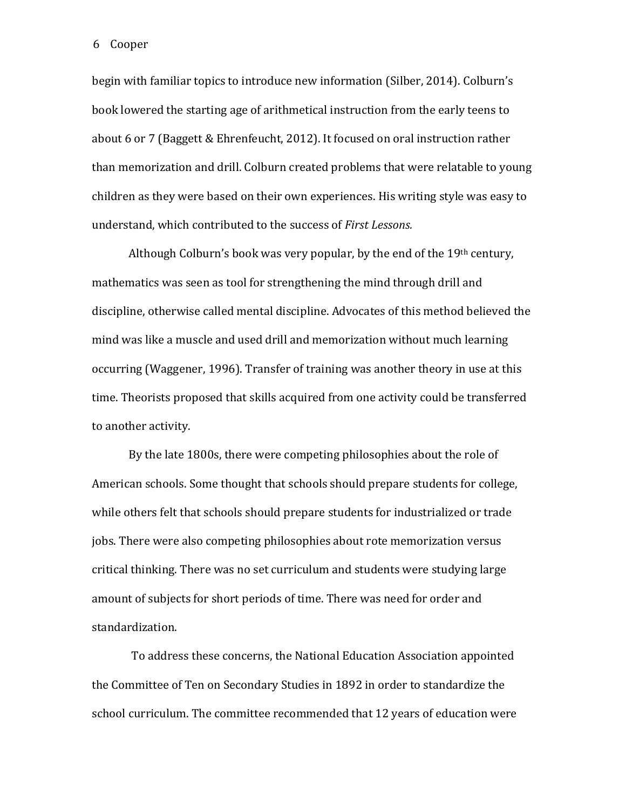begin with familiar topics to introduce new information (Silber, 2014). Colburn's book lowered the starting age of arithmetical instruction from the early teens to about 6 or 7 (Baggett & Ehrenfeucht, 2012). It focused on oral instruction rather than memorization and drill. Colburn created problems that were relatable to young children as they were based on their own experiences. His writing style was easy to understand, which contributed to the success of *First Lessons.* 

Although Colburn's book was very popular, by the end of the  $19<sup>th</sup>$  century, mathematics was seen as tool for strengthening the mind through drill and discipline, otherwise called mental discipline. Advocates of this method believed the mind was like a muscle and used drill and memorization without much learning occurring (Waggener, 1996). Transfer of training was another theory in use at this time. Theorists proposed that skills acquired from one activity could be transferred to another activity.

By the late 1800s, there were competing philosophies about the role of American schools. Some thought that schools should prepare students for college, while others felt that schools should prepare students for industrialized or trade jobs. There were also competing philosophies about rote memorization versus critical thinking. There was no set curriculum and students were studying large amount of subjects for short periods of time. There was need for order and standardization.

To address these concerns, the National Education Association appointed the Committee of Ten on Secondary Studies in 1892 in order to standardize the school curriculum. The committee recommended that 12 years of education were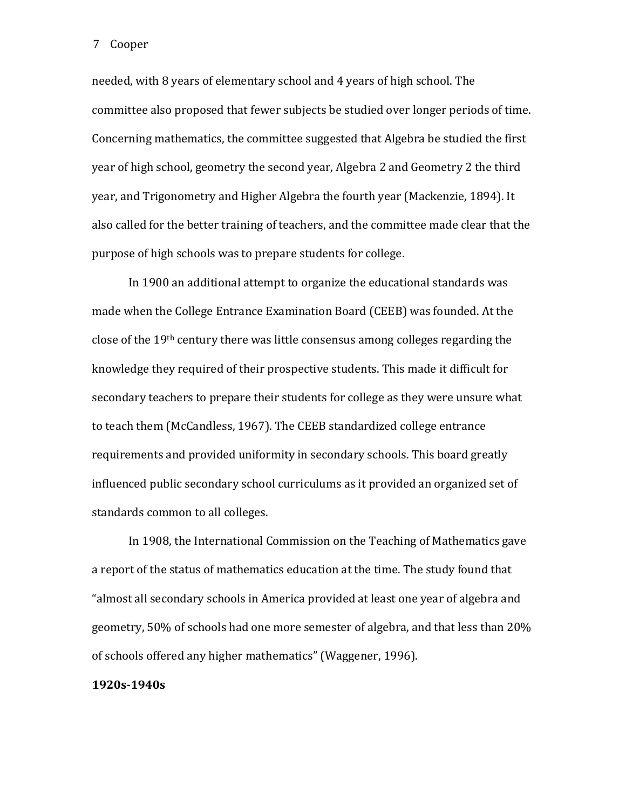needed, with 8 years of elementary school and 4 years of high school. The committee also proposed that fewer subjects be studied over longer periods of time. Concerning mathematics, the committee suggested that Algebra be studied the first year of high school, geometry the second year, Algebra 2 and Geometry 2 the third year, and Trigonometry and Higher Algebra the fourth year (Mackenzie, 1894). It also called for the better training of teachers, and the committee made clear that the purpose of high schools was to prepare students for college.

In 1900 an additional attempt to organize the educational standards was made when the College Entrance Examination Board (CEEB) was founded. At the close of the 19th century there was little consensus among colleges regarding the knowledge they required of their prospective students. This made it difficult for secondary teachers to prepare their students for college as they were unsure what to teach them (McCandless, 1967). The CEEB standardized college entrance requirements and provided uniformity in secondary schools. This board greatly influenced public secondary school curriculums as it provided an organized set of standards common to all colleges.

In 1908, the International Commission on the Teaching of Mathematics gave a report of the status of mathematics education at the time. The study found that "almost all secondary schools in America provided at least one year of algebra and geometry, 50% of schools had one more semester of algebra, and that less than 20% of schools offered any higher mathematics" (Waggener, 1996).

## **1920s-1940s**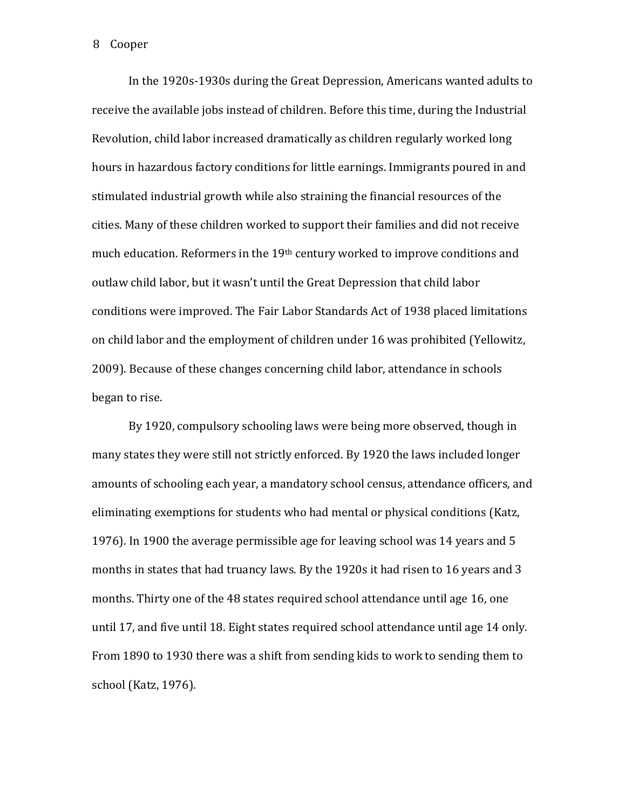In the 1920s-1930s during the Great Depression, Americans wanted adults to receive the available jobs instead of children. Before this time, during the Industrial Revolution, child labor increased dramatically as children regularly worked long hours in hazardous factory conditions for little earnings. Immigrants poured in and stimulated industrial growth while also straining the financial resources of the cities. Many of these children worked to support their families and did not receive much education. Reformers in the 19th century worked to improve conditions and outlaw child labor, but it wasn't until the Great Depression that child labor conditions were improved. The Fair Labor Standards Act of 1938 placed limitations on child labor and the employment of children under 16 was prohibited (Yellowitz, 2009). Because of these changes concerning child labor, attendance in schools began to rise.

By 1920, compulsory schooling laws were being more observed, though in many states they were still not strictly enforced. By 1920 the laws included longer amounts of schooling each year, a mandatory school census, attendance officers, and eliminating exemptions for students who had mental or physical conditions (Katz, 1976). In 1900 the average permissible age for leaving school was 14 years and 5 months in states that had truancy laws. By the 1920s it had risen to 16 years and 3 months. Thirty one of the 48 states required school attendance until age 16, one until 17, and five until 18. Eight states required school attendance until age 14 only. From 1890 to 1930 there was a shift from sending kids to work to sending them to school (Katz, 1976).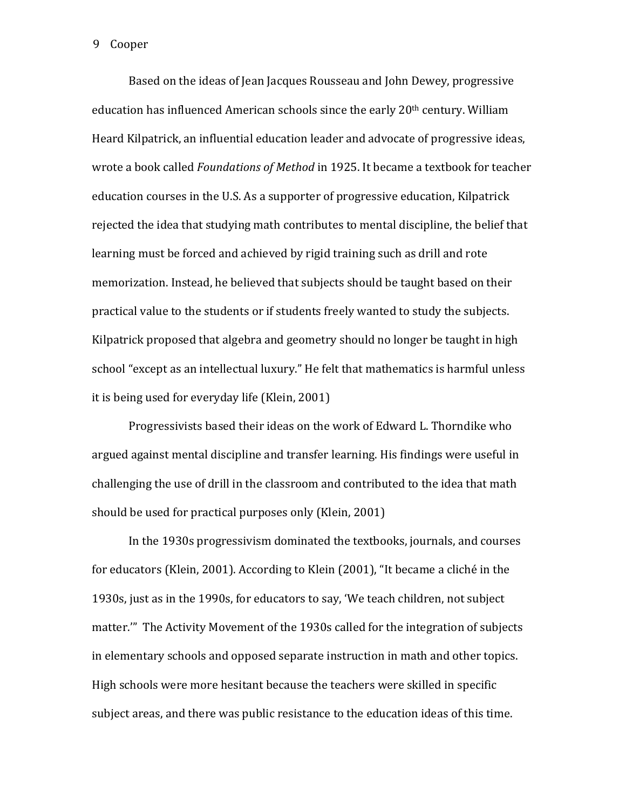Based on the ideas of Jean Jacques Rousseau and John Dewey, progressive education has influenced American schools since the early 20th century. William Heard Kilpatrick, an influential education leader and advocate of progressive ideas, wrote a book called *Foundations of Method* in 1925. It became a textbook for teacher education courses in the U.S. As a supporter of progressive education, Kilpatrick rejected the idea that studying math contributes to mental discipline, the belief that learning must be forced and achieved by rigid training such as drill and rote memorization. Instead, he believed that subjects should be taught based on their practical value to the students or if students freely wanted to study the subjects. Kilpatrick proposed that algebra and geometry should no longer be taught in high school "except as an intellectual luxury." He felt that mathematics is harmful unless it is being used for everyday life (Klein, 2001)

Progressivists based their ideas on the work of Edward L. Thorndike who argued against mental discipline and transfer learning. His findings were useful in challenging the use of drill in the classroom and contributed to the idea that math should be used for practical purposes only (Klein, 2001)

In the 1930s progressivism dominated the textbooks, journals, and courses for educators (Klein, 2001). According to Klein (2001), "It became a cliché in the 1930s, just as in the 1990s, for educators to say, 'We teach children, not subject matter.'" The Activity Movement of the 1930s called for the integration of subjects in elementary schools and opposed separate instruction in math and other topics. High schools were more hesitant because the teachers were skilled in specific subject areas, and there was public resistance to the education ideas of this time.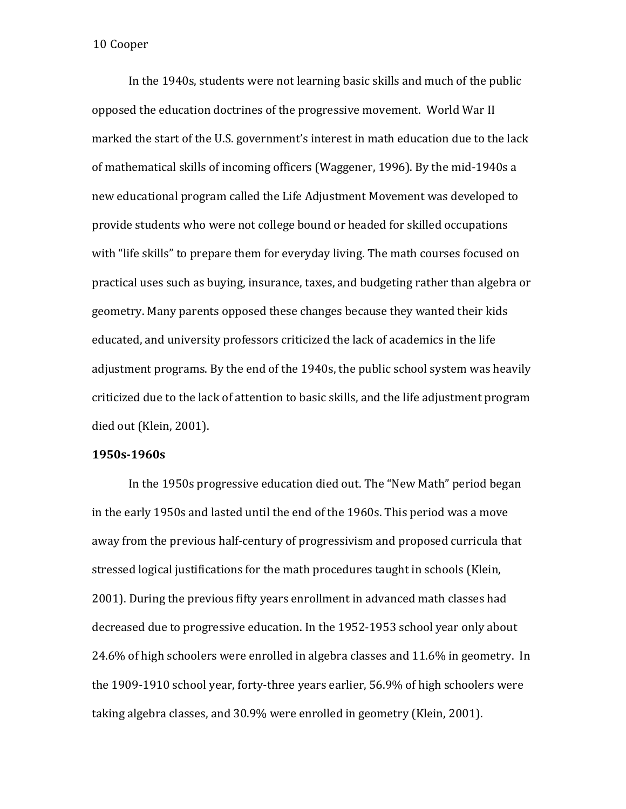In the 1940s, students were not learning basic skills and much of the public opposed the education doctrines of the progressive movement. World War II marked the start of the U.S. government's interest in math education due to the lack of mathematical skills of incoming officers (Waggener, 1996). By the mid-1940s a new educational program called the Life Adjustment Movement was developed to provide students who were not college bound or headed for skilled occupations with "life skills" to prepare them for everyday living. The math courses focused on practical uses such as buying, insurance, taxes, and budgeting rather than algebra or geometry. Many parents opposed these changes because they wanted their kids educated, and university professors criticized the lack of academics in the life adjustment programs. By the end of the 1940s, the public school system was heavily criticized due to the lack of attention to basic skills, and the life adjustment program died out (Klein, 2001).

## **1950s-1960s**

In the 1950s progressive education died out. The "New Math" period began in the early 1950s and lasted until the end of the 1960s. This period was a move away from the previous half-century of progressivism and proposed curricula that stressed logical justifications for the math procedures taught in schools (Klein, 2001). During the previous fifty years enrollment in advanced math classes had decreased due to progressive education. In the 1952-1953 school year only about 24.6% of high schoolers were enrolled in algebra classes and 11.6% in geometry. In the 1909-1910 school year, forty-three years earlier, 56.9% of high schoolers were taking algebra classes, and 30.9% were enrolled in geometry (Klein, 2001).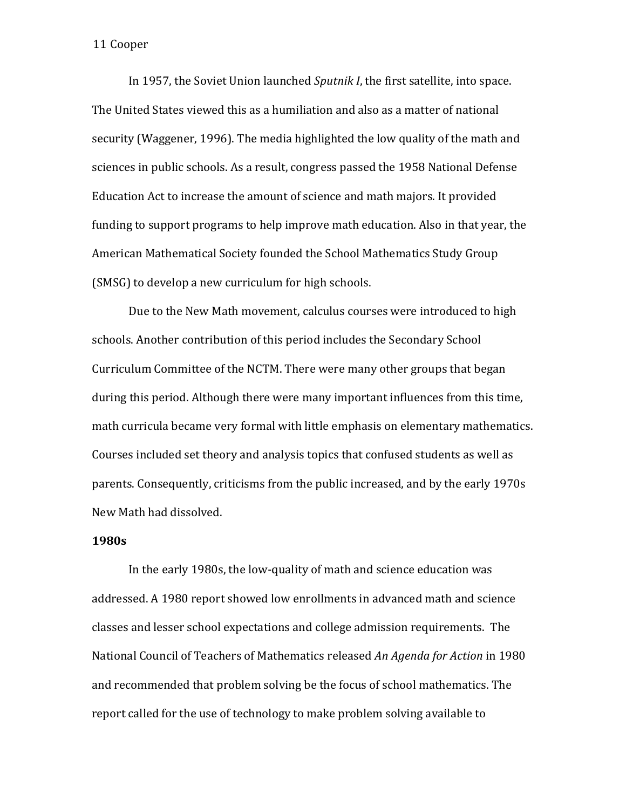In 1957, the Soviet Union launched *Sputnik I*, the first satellite, into space. The United States viewed this as a humiliation and also as a matter of national security (Waggener, 1996). The media highlighted the low quality of the math and sciences in public schools. As a result, congress passed the 1958 National Defense Education Act to increase the amount of science and math majors. It provided funding to support programs to help improve math education. Also in that year, the American Mathematical Society founded the School Mathematics Study Group (SMSG) to develop a new curriculum for high schools.

Due to the New Math movement, calculus courses were introduced to high schools. Another contribution of this period includes the Secondary School Curriculum Committee of the NCTM. There were many other groups that began during this period. Although there were many important influences from this time, math curricula became very formal with little emphasis on elementary mathematics. Courses included set theory and analysis topics that confused students as well as parents. Consequently, criticisms from the public increased, and by the early 1970s New Math had dissolved.

# **1980s**

In the early 1980s, the low-quality of math and science education was addressed. A 1980 report showed low enrollments in advanced math and science classes and lesser school expectations and college admission requirements. The National Council of Teachers of Mathematics released *An Agenda for Action* in 1980 and recommended that problem solving be the focus of school mathematics. The report called for the use of technology to make problem solving available to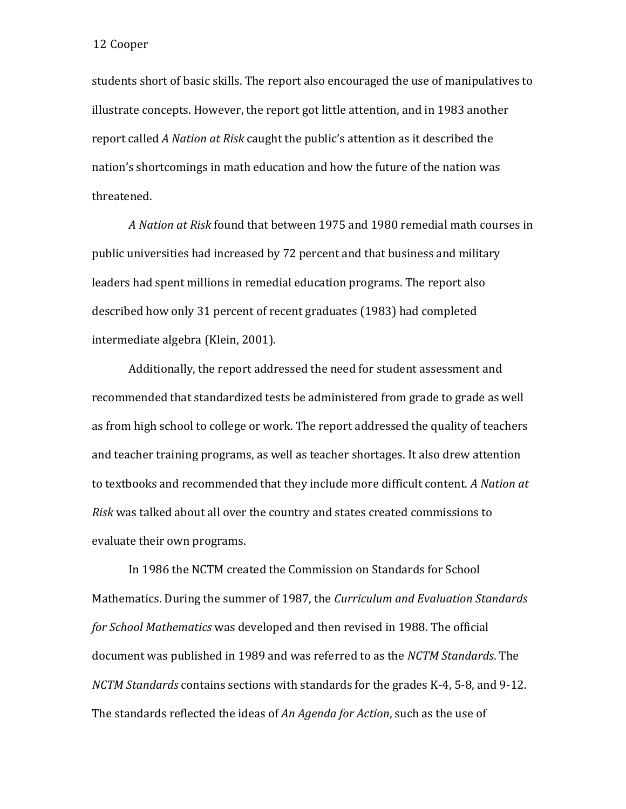students short of basic skills. The report also encouraged the use of manipulatives to illustrate concepts. However, the report got little attention, and in 1983 another report called *A Nation at Risk* caught the public's attention as it described the nation's shortcomings in math education and how the future of the nation was threatened.

*A Nation at Risk* found that between 1975 and 1980 remedial math courses in public universities had increased by 72 percent and that business and military leaders had spent millions in remedial education programs. The report also described how only 31 percent of recent graduates (1983) had completed intermediate algebra (Klein, 2001).

Additionally, the report addressed the need for student assessment and recommended that standardized tests be administered from grade to grade as well as from high school to college or work. The report addressed the quality of teachers and teacher training programs, as well as teacher shortages. It also drew attention to textbooks and recommended that they include more difficult content. *A Nation at Risk* was talked about all over the country and states created commissions to evaluate their own programs.

In 1986 the NCTM created the Commission on Standards for School Mathematics. During the summer of 1987, the *Curriculum and Evaluation Standards for School Mathematics* was developed and then revised in 1988. The official document was published in 1989 and was referred to as the *NCTM Standards*. The *NCTM Standards* contains sections with standards for the grades K-4, 5-8, and 9-12. The standards reflected the ideas of *An Agenda for Action*, such as the use of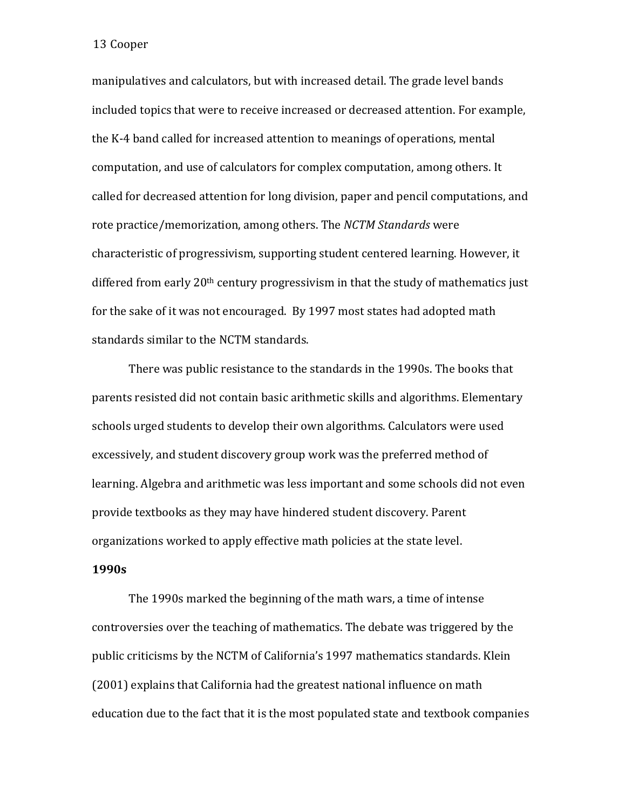manipulatives and calculators, but with increased detail. The grade level bands included topics that were to receive increased or decreased attention. For example, the K-4 band called for increased attention to meanings of operations, mental computation, and use of calculators for complex computation, among others. It called for decreased attention for long division, paper and pencil computations, and rote practice/memorization, among others. The *NCTM Standards* were characteristic of progressivism, supporting student centered learning. However, it differed from early  $20<sup>th</sup>$  century progressivism in that the study of mathematics just for the sake of it was not encouraged. By 1997 most states had adopted math standards similar to the NCTM standards.

There was public resistance to the standards in the 1990s. The books that parents resisted did not contain basic arithmetic skills and algorithms. Elementary schools urged students to develop their own algorithms. Calculators were used excessively, and student discovery group work was the preferred method of learning. Algebra and arithmetic was less important and some schools did not even provide textbooks as they may have hindered student discovery. Parent organizations worked to apply effective math policies at the state level.

# **1990s**

The 1990s marked the beginning of the math wars, a time of intense controversies over the teaching of mathematics. The debate was triggered by the public criticisms by the NCTM of California's 1997 mathematics standards. Klein (2001) explains that California had the greatest national influence on math education due to the fact that it is the most populated state and textbook companies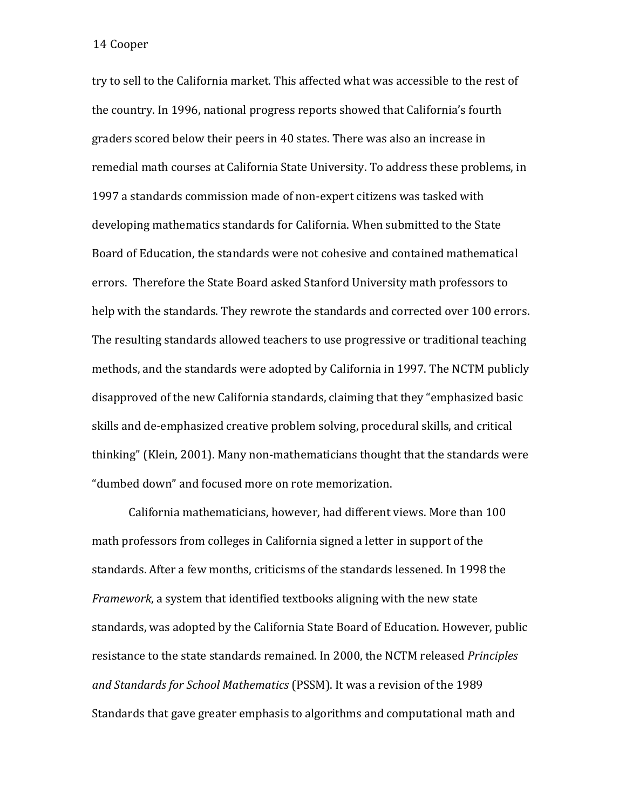try to sell to the California market. This affected what was accessible to the rest of the country. In 1996, national progress reports showed that California's fourth graders scored below their peers in 40 states. There was also an increase in remedial math courses at California State University. To address these problems, in 1997 a standards commission made of non-expert citizens was tasked with developing mathematics standards for California. When submitted to the State Board of Education, the standards were not cohesive and contained mathematical errors. Therefore the State Board asked Stanford University math professors to help with the standards. They rewrote the standards and corrected over 100 errors. The resulting standards allowed teachers to use progressive or traditional teaching methods, and the standards were adopted by California in 1997. The NCTM publicly disapproved of the new California standards, claiming that they "emphasized basic skills and de-emphasized creative problem solving, procedural skills, and critical thinking" (Klein, 2001). Many non-mathematicians thought that the standards were "dumbed down" and focused more on rote memorization.

California mathematicians, however, had different views. More than 100 math professors from colleges in California signed a letter in support of the standards. After a few months, criticisms of the standards lessened. In 1998 the *Framework*, a system that identified textbooks aligning with the new state standards, was adopted by the California State Board of Education. However, public resistance to the state standards remained. In 2000, the NCTM released *Principles and Standards for School Mathematics* (PSSM). It was a revision of the 1989 Standards that gave greater emphasis to algorithms and computational math and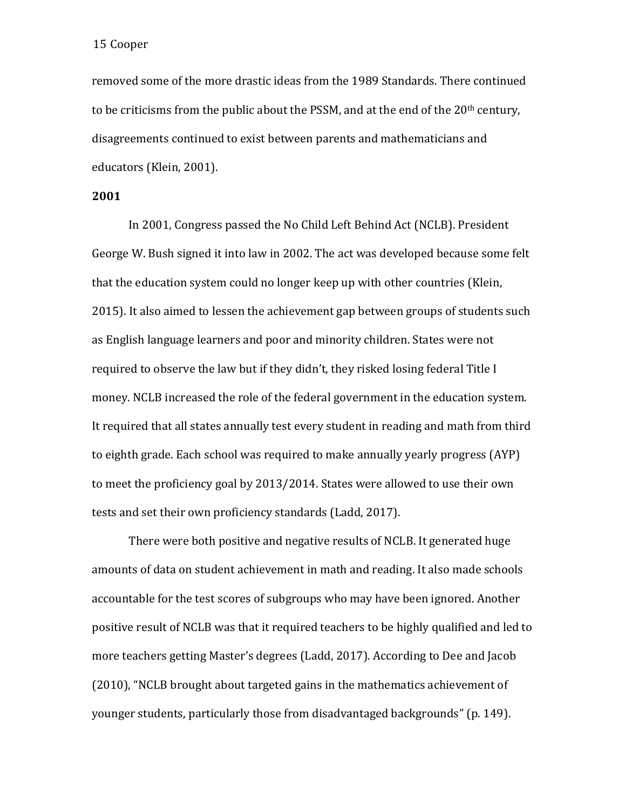removed some of the more drastic ideas from the 1989 Standards. There continued to be criticisms from the public about the PSSM, and at the end of the  $20<sup>th</sup>$  century, disagreements continued to exist between parents and mathematicians and educators (Klein, 2001).

## **2001**

In 2001, Congress passed the No Child Left Behind Act (NCLB). President George W. Bush signed it into law in 2002. The act was developed because some felt that the education system could no longer keep up with other countries (Klein, 2015). It also aimed to lessen the achievement gap between groups of students such as English language learners and poor and minority children. States were not required to observe the law but if they didn't, they risked losing federal Title I money. NCLB increased the role of the federal government in the education system. It required that all states annually test every student in reading and math from third to eighth grade. Each school was required to make annually yearly progress (AYP) to meet the proficiency goal by 2013/2014. States were allowed to use their own tests and set their own proficiency standards (Ladd, 2017).

There were both positive and negative results of NCLB. It generated huge amounts of data on student achievement in math and reading. It also made schools accountable for the test scores of subgroups who may have been ignored. Another positive result of NCLB was that it required teachers to be highly qualified and led to more teachers getting Master's degrees (Ladd, 2017). According to Dee and Jacob (2010), "NCLB brought about targeted gains in the mathematics achievement of younger students, particularly those from disadvantaged backgrounds" (p. 149).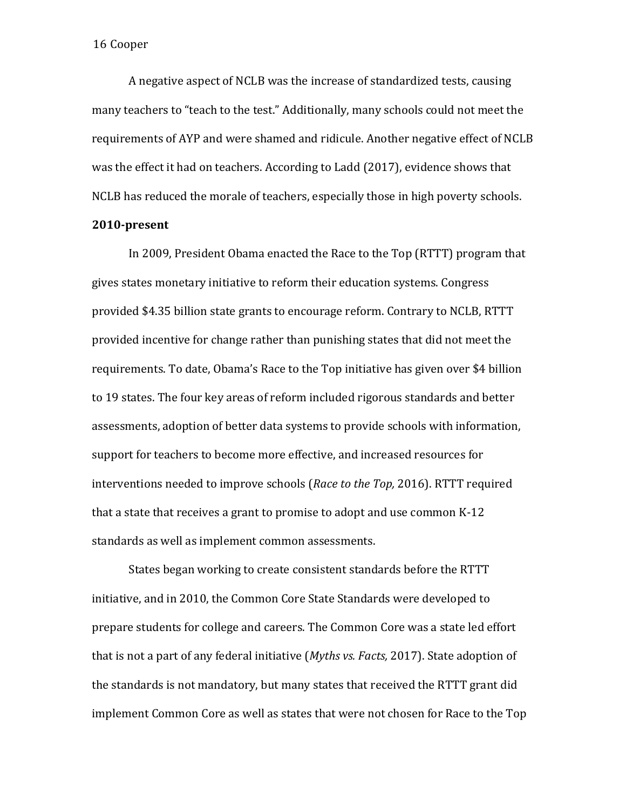A negative aspect of NCLB was the increase of standardized tests, causing many teachers to "teach to the test." Additionally, many schools could not meet the requirements of AYP and were shamed and ridicule. Another negative effect of NCLB was the effect it had on teachers. According to Ladd (2017), evidence shows that NCLB has reduced the morale of teachers, especially those in high poverty schools.

# **2010-present**

In 2009, President Obama enacted the Race to the Top (RTTT) program that gives states monetary initiative to reform their education systems. Congress provided \$4.35 billion state grants to encourage reform. Contrary to NCLB, RTTT provided incentive for change rather than punishing states that did not meet the requirements. To date, Obama's Race to the Top initiative has given over \$4 billion to 19 states. The four key areas of reform included rigorous standards and better assessments, adoption of better data systems to provide schools with information, support for teachers to become more effective, and increased resources for interventions needed to improve schools (*Race to the Top,* 2016). RTTT required that a state that receives a grant to promise to adopt and use common K-12 standards as well as implement common assessments.

States began working to create consistent standards before the RTTT initiative, and in 2010, the Common Core State Standards were developed to prepare students for college and careers. The Common Core was a state led effort that is not a part of any federal initiative (*Myths vs. Facts,* 2017). State adoption of the standards is not mandatory, but many states that received the RTTT grant did implement Common Core as well as states that were not chosen for Race to the Top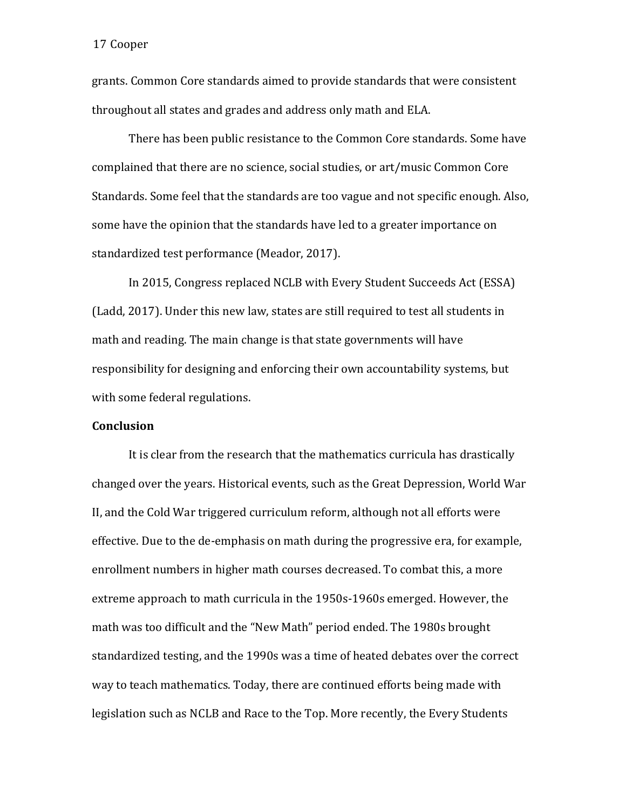grants. Common Core standards aimed to provide standards that were consistent throughout all states and grades and address only math and ELA.

There has been public resistance to the Common Core standards. Some have complained that there are no science, social studies, or art/music Common Core Standards. Some feel that the standards are too vague and not specific enough. Also, some have the opinion that the standards have led to a greater importance on standardized test performance (Meador, 2017).

In 2015, Congress replaced NCLB with Every Student Succeeds Act (ESSA) (Ladd, 2017). Under this new law, states are still required to test all students in math and reading. The main change is that state governments will have responsibility for designing and enforcing their own accountability systems, but with some federal regulations.

### **Conclusion**

It is clear from the research that the mathematics curricula has drastically changed over the years. Historical events, such as the Great Depression, World War II, and the Cold War triggered curriculum reform, although not all efforts were effective. Due to the de-emphasis on math during the progressive era, for example, enrollment numbers in higher math courses decreased. To combat this, a more extreme approach to math curricula in the 1950s-1960s emerged. However, the math was too difficult and the "New Math" period ended. The 1980s brought standardized testing, and the 1990s was a time of heated debates over the correct way to teach mathematics. Today, there are continued efforts being made with legislation such as NCLB and Race to the Top. More recently, the Every Students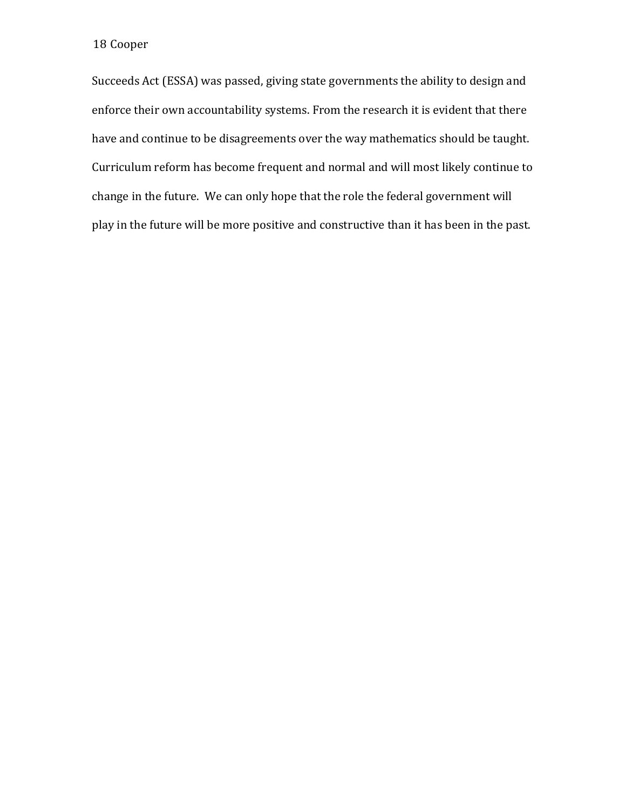Succeeds Act (ESSA) was passed, giving state governments the ability to design and enforce their own accountability systems. From the research it is evident that there have and continue to be disagreements over the way mathematics should be taught. Curriculum reform has become frequent and normal and will most likely continue to change in the future. We can only hope that the role the federal government will play in the future will be more positive and constructive than it has been in the past.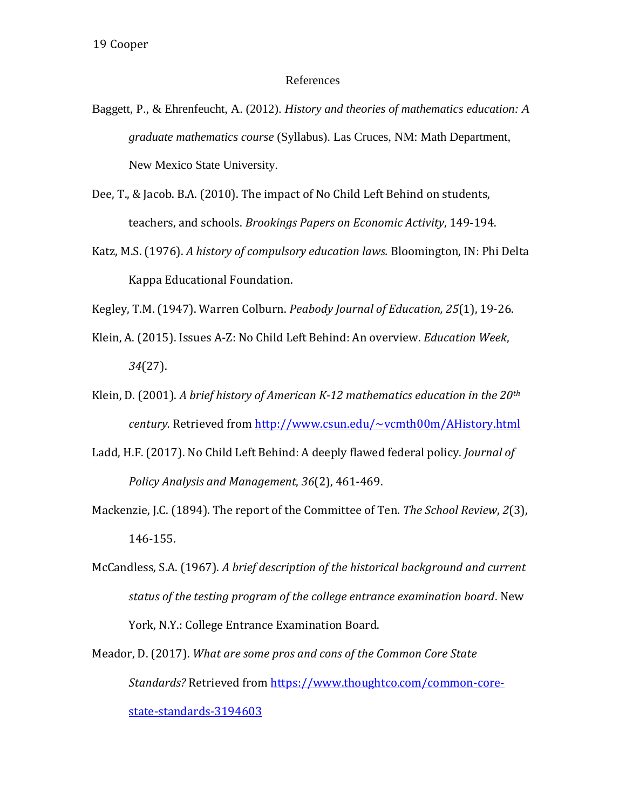### References

- Baggett, P., & Ehrenfeucht, A. (2012). *History and theories of mathematics education: A graduate mathematics course* (Syllabus). Las Cruces, NM: Math Department, New Mexico State University.
- Dee, T., & Jacob. B.A. (2010). The impact of No Child Left Behind on students, teachers, and schools. *Brookings Papers on Economic Activity*, 149-194.
- Katz, M.S. (1976). *A history of compulsory education laws.* Bloomington, IN: Phi Delta Kappa Educational Foundation.
- Kegley, T.M. (1947). Warren Colburn. *Peabody Journal of Education, 25*(1), 19-26.
- Klein, A. (2015). Issues A-Z: No Child Left Behind: An overview. *Education Week*, *34*(27).
- Klein, D. (2001). *A brief history of American K-12 mathematics education in the 20th century.* Retrieved from<http://www.csun.edu/~vcmth00m/AHistory.html>
- Ladd, H.F. (2017). No Child Left Behind: A deeply flawed federal policy. *Journal of Policy Analysis and Management*, *36*(2), 461-469.
- Mackenzie, J.C. (1894). The report of the Committee of Ten. *The School Review*, *2*(3), 146-155.
- McCandless, S.A. (1967). *A brief description of the historical background and current status of the testing program of the college entrance examination board*. New York, N.Y.: College Entrance Examination Board.
- Meador, D. (2017). *What are some pros and cons of the Common Core State Standards?* Retrieved from [https://www.thoughtco.com/common-core](https://www.thoughtco.com/common-core-state-standards-3194603)[state-standards-3194603](https://www.thoughtco.com/common-core-state-standards-3194603)